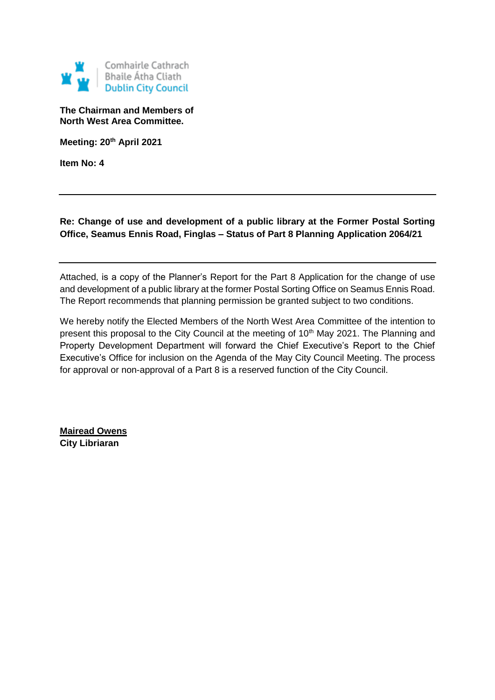

**The Chairman and Members of North West Area Committee.**

**Meeting: 20th April 2021**

**Item No: 4**

**Re: Change of use and development of a public library at the Former Postal Sorting Office, Seamus Ennis Road, Finglas – Status of Part 8 Planning Application 2064/21**

Attached, is a copy of the Planner's Report for the Part 8 Application for the change of use and development of a public library at the former Postal Sorting Office on Seamus Ennis Road. The Report recommends that planning permission be granted subject to two conditions.

We hereby notify the Elected Members of the North West Area Committee of the intention to present this proposal to the City Council at the meeting of 10<sup>th</sup> May 2021. The Planning and Property Development Department will forward the Chief Executive's Report to the Chief Executive's Office for inclusion on the Agenda of the May City Council Meeting. The process for approval or non-approval of a Part 8 is a reserved function of the City Council.

**Mairead Owens City Libriaran**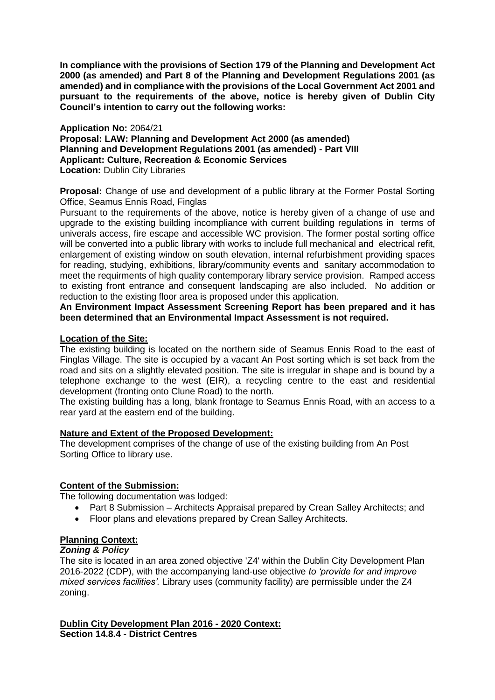**In compliance with the provisions of Section 179 of the Planning and Development Act 2000 (as amended) and Part 8 of the Planning and Development Regulations 2001 (as amended) and in compliance with the provisions of the Local Government Act 2001 and pursuant to the requirements of the above, notice is hereby given of Dublin City Council's intention to carry out the following works:**

#### **Application No:** 2064/21

**Proposal: LAW: Planning and Development Act 2000 (as amended) Planning and Development Regulations 2001 (as amended) - Part VIII Applicant: Culture, Recreation & Economic Services Location: Dublin City Libraries** 

**Proposal:** Change of use and development of a public library at the Former Postal Sorting Office, Seamus Ennis Road, Finglas

Pursuant to the requirements of the above, notice is hereby given of a change of use and upgrade to the existing building incompliance with current building regulations in terms of univerals access, fire escape and accessible WC provision. The former postal sorting office will be converted into a public library with works to include full mechanical and electrical refit, enlargement of existing window on south elevation, internal refurbishment providing spaces for reading, studying, exhibitions, library/community events and sanitary accommodation to meet the requirments of high quality contemporary library service provision. Ramped access to existing front entrance and consequent landscaping are also included. No addition or reduction to the existing floor area is proposed under this application.

**An Environment Impact Assessment Screening Report has been prepared and it has been determined that an Environmental Impact Assessment is not required.**

#### **Location of the Site:**

The existing building is located on the northern side of Seamus Ennis Road to the east of Finglas Village. The site is occupied by a vacant An Post sorting which is set back from the road and sits on a slightly elevated position. The site is irregular in shape and is bound by a telephone exchange to the west (EIR), a recycling centre to the east and residential development (fronting onto Clune Road) to the north.

The existing building has a long, blank frontage to Seamus Ennis Road, with an access to a rear yard at the eastern end of the building.

#### **Nature and Extent of the Proposed Development:**

The development comprises of the change of use of the existing building from An Post Sorting Office to library use.

#### **Content of the Submission:**

The following documentation was lodged:

- Part 8 Submission Architects Appraisal prepared by Crean Salley Architects; and
- Floor plans and elevations prepared by Crean Salley Architects.

# **Planning Context:**

# *Zoning & Policy*

The site is located in an area zoned objective 'Z4' within the Dublin City Development Plan 2016-2022 (CDP), with the accompanying land-use objective *to 'provide for and improve mixed services facilities'.* Library uses (community facility) are permissible under the Z4 zoning.

#### **Dublin City Development Plan 2016 - 2020 Context: Section 14.8.4 - District Centres**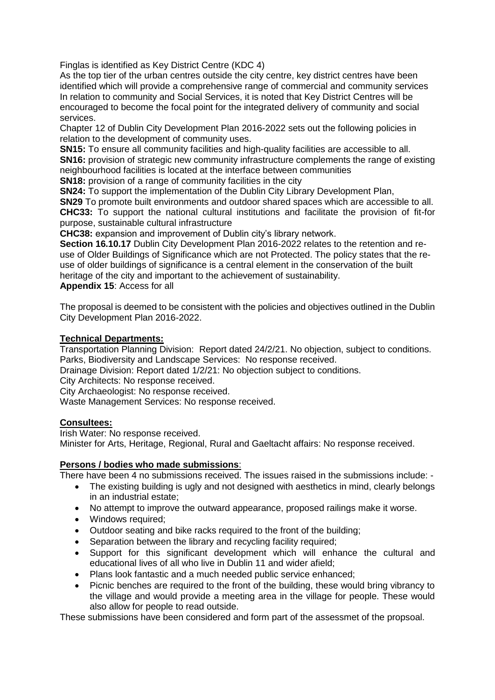Finglas is identified as Key District Centre (KDC 4)

As the top tier of the urban centres outside the city centre, key district centres have been identified which will provide a comprehensive range of commercial and community services In relation to community and Social Services, it is noted that Key District Centres will be encouraged to become the focal point for the integrated delivery of community and social services.

Chapter 12 of Dublin City Development Plan 2016-2022 sets out the following policies in relation to the development of community uses.

**SN15:** To ensure all community facilities and high-quality facilities are accessible to all. **SN16:** provision of strategic new community infrastructure complements the range of existing neighbourhood facilities is located at the interface between communities

**SN18:** provision of a range of community facilities in the city

**SN24:** To support the implementation of the Dublin City Library Development Plan,

**SN29** To promote built environments and outdoor shared spaces which are accessible to all. **CHC33:** To support the national cultural institutions and facilitate the provision of fit-for purpose, sustainable cultural infrastructure

**CHC38:** expansion and improvement of Dublin city's library network.

**Section 16.10.17** Dublin City Development Plan 2016-2022 relates to the retention and reuse of Older Buildings of Significance which are not Protected. The policy states that the reuse of older buildings of significance is a central element in the conservation of the built heritage of the city and important to the achievement of sustainability.

**Appendix 15**: Access for all

The proposal is deemed to be consistent with the policies and objectives outlined in the Dublin City Development Plan 2016-2022.

# **Technical Departments:**

Transportation Planning Division: Report dated 24/2/21. No objection, subject to conditions. Parks, Biodiversity and Landscape Services: No response received.

Drainage Division: Report dated 1/2/21: No objection subject to conditions.

City Architects: No response received.

City Archaeologist: No response received.

Waste Management Services: No response received.

# **Consultees:**

Irish Water: No response received. Minister for Arts, Heritage, Regional, Rural and Gaeltacht affairs: No response received.

# **Persons / bodies who made submissions**:

There have been 4 no submissions received. The issues raised in the submissions include: -

- The existing building is ugly and not designed with aesthetics in mind, clearly belongs in an industrial estate;
- No attempt to improve the outward appearance, proposed railings make it worse.
- Windows required;
- Outdoor seating and bike racks required to the front of the building;
- Separation between the library and recycling facility required;
- Support for this significant development which will enhance the cultural and educational lives of all who live in Dublin 11 and wider afield;
- Plans look fantastic and a much needed public service enhanced;
- Picnic benches are required to the front of the building, these would bring vibrancy to the village and would provide a meeting area in the village for people. These would also allow for people to read outside.

These submissions have been considered and form part of the assessmet of the propsoal.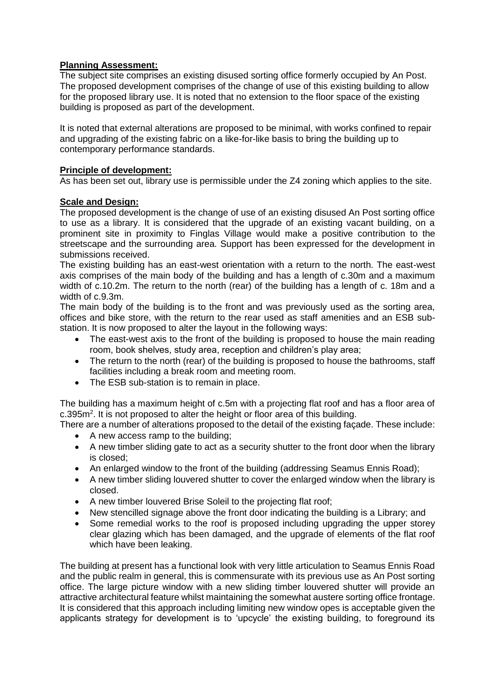# **Planning Assessment:**

The subject site comprises an existing disused sorting office formerly occupied by An Post. The proposed development comprises of the change of use of this existing building to allow for the proposed library use. It is noted that no extension to the floor space of the existing building is proposed as part of the development.

It is noted that external alterations are proposed to be minimal, with works confined to repair and upgrading of the existing fabric on a like-for-like basis to bring the building up to contemporary performance standards.

# **Principle of development:**

As has been set out, library use is permissible under the Z4 zoning which applies to the site.

# **Scale and Design:**

The proposed development is the change of use of an existing disused An Post sorting office to use as a library. It is considered that the upgrade of an existing vacant building, on a prominent site in proximity to Finglas Village would make a positive contribution to the streetscape and the surrounding area. Support has been expressed for the development in submissions received.

The existing building has an east-west orientation with a return to the north. The east-west axis comprises of the main body of the building and has a length of c.30m and a maximum width of c.10.2m. The return to the north (rear) of the building has a length of c. 18m and a width of c.9.3m.

The main body of the building is to the front and was previously used as the sorting area, offices and bike store, with the return to the rear used as staff amenities and an ESB substation. It is now proposed to alter the layout in the following ways:

- The east-west axis to the front of the building is proposed to house the main reading room, book shelves, study area, reception and children's play area;
- The return to the north (rear) of the building is proposed to house the bathrooms, staff facilities including a break room and meeting room.
- The ESB sub-station is to remain in place.

The building has a maximum height of c.5m with a projecting flat roof and has a floor area of  $c.395m<sup>2</sup>$ . It is not proposed to alter the height or floor area of this building.

There are a number of alterations proposed to the detail of the existing façade. These include: • A new access ramp to the building;

- A new timber sliding gate to act as a security shutter to the front door when the library is closed;
- An enlarged window to the front of the building (addressing Seamus Ennis Road);
- A new timber sliding louvered shutter to cover the enlarged window when the library is closed.
- A new timber louvered Brise Soleil to the projecting flat roof;
- New stencilled signage above the front door indicating the building is a Library; and
- Some remedial works to the roof is proposed including upgrading the upper storey clear glazing which has been damaged, and the upgrade of elements of the flat roof which have been leaking.

The building at present has a functional look with very little articulation to Seamus Ennis Road and the public realm in general, this is commensurate with its previous use as An Post sorting office. The large picture window with a new sliding timber louvered shutter will provide an attractive architectural feature whilst maintaining the somewhat austere sorting office frontage. It is considered that this approach including limiting new window opes is acceptable given the applicants strategy for development is to 'upcycle' the existing building, to foreground its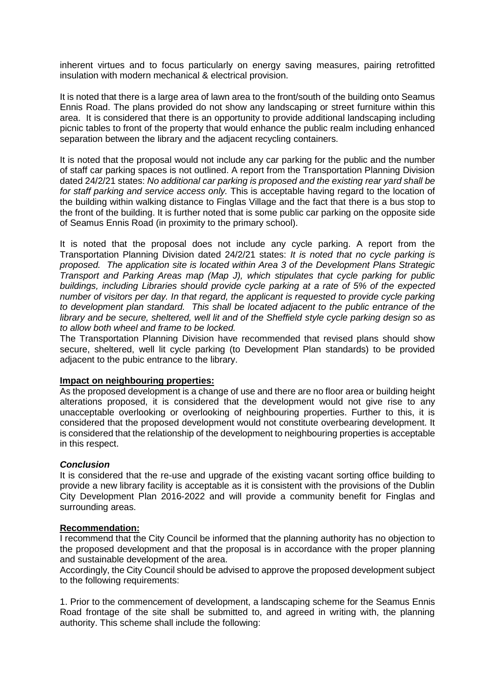inherent virtues and to focus particularly on energy saving measures, pairing retrofitted insulation with modern mechanical & electrical provision.

It is noted that there is a large area of lawn area to the front/south of the building onto Seamus Ennis Road. The plans provided do not show any landscaping or street furniture within this area. It is considered that there is an opportunity to provide additional landscaping including picnic tables to front of the property that would enhance the public realm including enhanced separation between the library and the adjacent recycling containers.

It is noted that the proposal would not include any car parking for the public and the number of staff car parking spaces is not outlined. A report from the Transportation Planning Division dated 24/2/21 states: *No additional car parking is proposed and the existing rear yard shall be for staff parking and service access only.* This is acceptable having regard to the location of the building within walking distance to Finglas Village and the fact that there is a bus stop to the front of the building. It is further noted that is some public car parking on the opposite side of Seamus Ennis Road (in proximity to the primary school).

It is noted that the proposal does not include any cycle parking. A report from the Transportation Planning Division dated 24/2/21 states: *It is noted that no cycle parking is proposed. The application site is located within Area 3 of the Development Plans Strategic Transport and Parking Areas map (Map J), which stipulates that cycle parking for public buildings, including Libraries should provide cycle parking at a rate of 5% of the expected number of visitors per day. In that regard, the applicant is requested to provide cycle parking to development plan standard. This shall be located adjacent to the public entrance of the library and be secure, sheltered, well lit and of the Sheffield style cycle parking design so as to allow both wheel and frame to be locked.*

The Transportation Planning Division have recommended that revised plans should show secure, sheltered, well lit cycle parking (to Development Plan standards) to be provided adjacent to the pubic entrance to the library.

#### **Impact on neighbouring properties:**

As the proposed development is a change of use and there are no floor area or building height alterations proposed, it is considered that the development would not give rise to any unacceptable overlooking or overlooking of neighbouring properties. Further to this, it is considered that the proposed development would not constitute overbearing development. It is considered that the relationship of the development to neighbouring properties is acceptable in this respect.

# *Conclusion*

It is considered that the re-use and upgrade of the existing vacant sorting office building to provide a new library facility is acceptable as it is consistent with the provisions of the Dublin City Development Plan 2016-2022 and will provide a community benefit for Finglas and surrounding areas.

# **Recommendation:**

I recommend that the City Council be informed that the planning authority has no objection to the proposed development and that the proposal is in accordance with the proper planning and sustainable development of the area.

Accordingly, the City Council should be advised to approve the proposed development subject to the following requirements:

1. Prior to the commencement of development, a landscaping scheme for the Seamus Ennis Road frontage of the site shall be submitted to, and agreed in writing with, the planning authority. This scheme shall include the following: